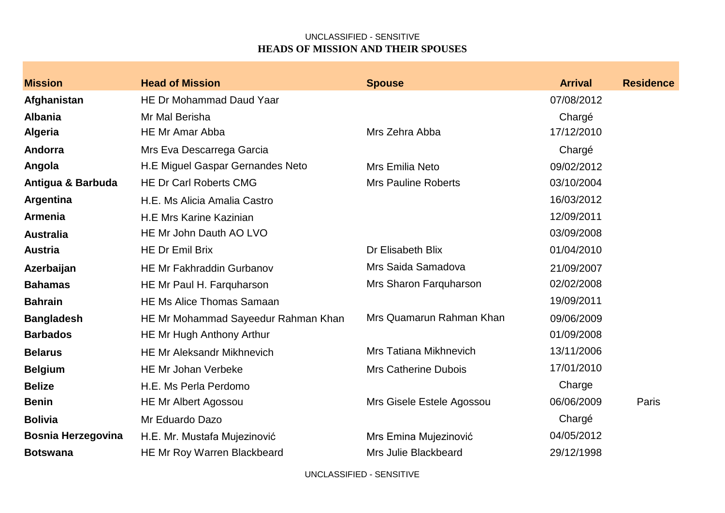| HE Dr Mohammad Daud Yaar<br>07/08/2012<br>Afghanistan<br><b>Albania</b><br>Mr Mal Berisha<br>Chargé<br>17/12/2010<br><b>HE Mr Amar Abba</b><br>Mrs Zehra Abba<br><b>Algeria</b><br>Andorra<br>Mrs Eva Descarrega Garcia<br>Chargé<br>H.E Miguel Gaspar Gernandes Neto<br>Angola<br>09/02/2012<br><b>Mrs Emilia Neto</b><br><b>Mrs Pauline Roberts</b><br>03/10/2004<br>Antigua & Barbuda<br><b>HE Dr Carl Roberts CMG</b><br>16/03/2012<br>Argentina<br>H.E. Ms Alicia Amalia Castro<br><b>Armenia</b><br>12/09/2011<br><b>H.E Mrs Karine Kazinian</b><br>HE Mr John Dauth AO LVO<br>03/09/2008<br><b>Australia</b><br><b>HE Dr Emil Brix</b><br>Dr Elisabeth Blix<br>01/04/2010<br><b>Austria</b><br>Mrs Saida Samadova<br><b>HE Mr Fakhraddin Gurbanov</b><br>21/09/2007<br>Azerbaijan<br>02/02/2008<br>Mrs Sharon Farquharson<br><b>Bahamas</b><br>HE Mr Paul H. Farquharson<br>19/09/2011<br><b>Bahrain</b><br><b>HE Ms Alice Thomas Samaan</b><br>Mrs Quamarun Rahman Khan<br>09/06/2009<br><b>Bangladesh</b><br>HE Mr Mohammad Sayeedur Rahman Khan<br><b>Barbados</b><br>01/09/2008<br>HE Mr Hugh Anthony Arthur<br><b>Mrs Tatiana Mikhnevich</b><br>13/11/2006<br><b>HE Mr Aleksandr Mikhnevich</b><br><b>Belarus</b><br>17/01/2010<br><b>Belgium</b><br><b>HE Mr Johan Verbeke</b><br><b>Mrs Catherine Dubois</b> | <b>Mission</b> | <b>Head of Mission</b> | <b>Spouse</b> | <b>Arrival</b> | <b>Residence</b> |
|----------------------------------------------------------------------------------------------------------------------------------------------------------------------------------------------------------------------------------------------------------------------------------------------------------------------------------------------------------------------------------------------------------------------------------------------------------------------------------------------------------------------------------------------------------------------------------------------------------------------------------------------------------------------------------------------------------------------------------------------------------------------------------------------------------------------------------------------------------------------------------------------------------------------------------------------------------------------------------------------------------------------------------------------------------------------------------------------------------------------------------------------------------------------------------------------------------------------------------------------------------------------------------------------------------------------------|----------------|------------------------|---------------|----------------|------------------|
|                                                                                                                                                                                                                                                                                                                                                                                                                                                                                                                                                                                                                                                                                                                                                                                                                                                                                                                                                                                                                                                                                                                                                                                                                                                                                                                            |                |                        |               |                |                  |
|                                                                                                                                                                                                                                                                                                                                                                                                                                                                                                                                                                                                                                                                                                                                                                                                                                                                                                                                                                                                                                                                                                                                                                                                                                                                                                                            |                |                        |               |                |                  |
|                                                                                                                                                                                                                                                                                                                                                                                                                                                                                                                                                                                                                                                                                                                                                                                                                                                                                                                                                                                                                                                                                                                                                                                                                                                                                                                            |                |                        |               |                |                  |
|                                                                                                                                                                                                                                                                                                                                                                                                                                                                                                                                                                                                                                                                                                                                                                                                                                                                                                                                                                                                                                                                                                                                                                                                                                                                                                                            |                |                        |               |                |                  |
|                                                                                                                                                                                                                                                                                                                                                                                                                                                                                                                                                                                                                                                                                                                                                                                                                                                                                                                                                                                                                                                                                                                                                                                                                                                                                                                            |                |                        |               |                |                  |
|                                                                                                                                                                                                                                                                                                                                                                                                                                                                                                                                                                                                                                                                                                                                                                                                                                                                                                                                                                                                                                                                                                                                                                                                                                                                                                                            |                |                        |               |                |                  |
|                                                                                                                                                                                                                                                                                                                                                                                                                                                                                                                                                                                                                                                                                                                                                                                                                                                                                                                                                                                                                                                                                                                                                                                                                                                                                                                            |                |                        |               |                |                  |
|                                                                                                                                                                                                                                                                                                                                                                                                                                                                                                                                                                                                                                                                                                                                                                                                                                                                                                                                                                                                                                                                                                                                                                                                                                                                                                                            |                |                        |               |                |                  |
|                                                                                                                                                                                                                                                                                                                                                                                                                                                                                                                                                                                                                                                                                                                                                                                                                                                                                                                                                                                                                                                                                                                                                                                                                                                                                                                            |                |                        |               |                |                  |
|                                                                                                                                                                                                                                                                                                                                                                                                                                                                                                                                                                                                                                                                                                                                                                                                                                                                                                                                                                                                                                                                                                                                                                                                                                                                                                                            |                |                        |               |                |                  |
|                                                                                                                                                                                                                                                                                                                                                                                                                                                                                                                                                                                                                                                                                                                                                                                                                                                                                                                                                                                                                                                                                                                                                                                                                                                                                                                            |                |                        |               |                |                  |
|                                                                                                                                                                                                                                                                                                                                                                                                                                                                                                                                                                                                                                                                                                                                                                                                                                                                                                                                                                                                                                                                                                                                                                                                                                                                                                                            |                |                        |               |                |                  |
|                                                                                                                                                                                                                                                                                                                                                                                                                                                                                                                                                                                                                                                                                                                                                                                                                                                                                                                                                                                                                                                                                                                                                                                                                                                                                                                            |                |                        |               |                |                  |
|                                                                                                                                                                                                                                                                                                                                                                                                                                                                                                                                                                                                                                                                                                                                                                                                                                                                                                                                                                                                                                                                                                                                                                                                                                                                                                                            |                |                        |               |                |                  |
|                                                                                                                                                                                                                                                                                                                                                                                                                                                                                                                                                                                                                                                                                                                                                                                                                                                                                                                                                                                                                                                                                                                                                                                                                                                                                                                            |                |                        |               |                |                  |
|                                                                                                                                                                                                                                                                                                                                                                                                                                                                                                                                                                                                                                                                                                                                                                                                                                                                                                                                                                                                                                                                                                                                                                                                                                                                                                                            |                |                        |               |                |                  |
|                                                                                                                                                                                                                                                                                                                                                                                                                                                                                                                                                                                                                                                                                                                                                                                                                                                                                                                                                                                                                                                                                                                                                                                                                                                                                                                            |                |                        |               |                |                  |
|                                                                                                                                                                                                                                                                                                                                                                                                                                                                                                                                                                                                                                                                                                                                                                                                                                                                                                                                                                                                                                                                                                                                                                                                                                                                                                                            | <b>Belize</b>  | H.E. Ms Perla Perdomo  |               | Charge         |                  |
| 06/06/2009<br><b>Benin</b><br><b>HE Mr Albert Agossou</b><br>Mrs Gisele Estele Agossou<br>Paris                                                                                                                                                                                                                                                                                                                                                                                                                                                                                                                                                                                                                                                                                                                                                                                                                                                                                                                                                                                                                                                                                                                                                                                                                            |                |                        |               |                |                  |
| Chargé<br><b>Bolivia</b><br>Mr Eduardo Dazo                                                                                                                                                                                                                                                                                                                                                                                                                                                                                                                                                                                                                                                                                                                                                                                                                                                                                                                                                                                                                                                                                                                                                                                                                                                                                |                |                        |               |                |                  |
| <b>Bosnia Herzegovina</b><br>04/05/2012<br>H.E. Mr. Mustafa Mujezinović<br>Mrs Emina Mujezinović                                                                                                                                                                                                                                                                                                                                                                                                                                                                                                                                                                                                                                                                                                                                                                                                                                                                                                                                                                                                                                                                                                                                                                                                                           |                |                        |               |                |                  |
| <b>Mrs Julie Blackbeard</b><br>29/12/1998<br><b>HE Mr Roy Warren Blackbeard</b><br><b>Botswana</b>                                                                                                                                                                                                                                                                                                                                                                                                                                                                                                                                                                                                                                                                                                                                                                                                                                                                                                                                                                                                                                                                                                                                                                                                                         |                |                        |               |                |                  |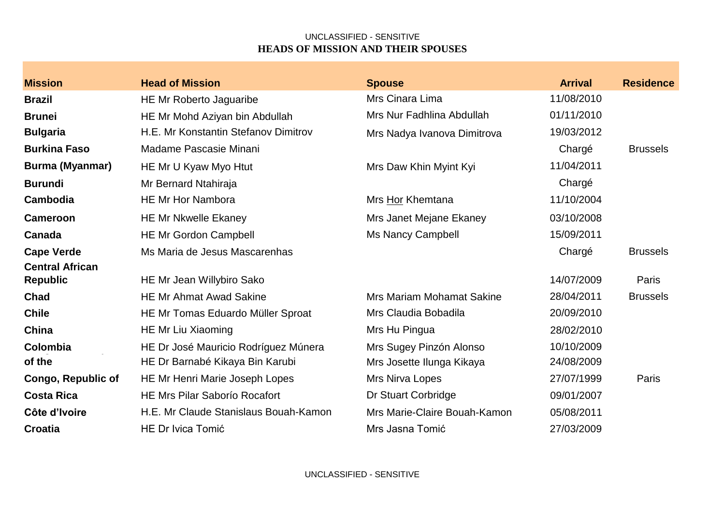| <b>Mission</b>            | <b>Head of Mission</b>                | <b>Spouse</b>                    | <b>Arrival</b> | <b>Residence</b> |
|---------------------------|---------------------------------------|----------------------------------|----------------|------------------|
| Brazil                    | HE Mr Roberto Jaguaribe               | Mrs Cinara Lima                  | 11/08/2010     |                  |
| <b>Brunei</b>             | HE Mr Mohd Aziyan bin Abdullah        | Mrs Nur Fadhlina Abdullah        | 01/11/2010     |                  |
| Bulgaria                  | H.E. Mr Konstantin Stefanov Dimitrov  | Mrs Nadya Ivanova Dimitrova      | 19/03/2012     |                  |
| <b>Burkina Faso</b>       | Madame Pascasie Minani                |                                  | Chargé         | <b>Brussels</b>  |
| Burma (Myanmar)           | HE Mr U Kyaw Myo Htut                 | Mrs Daw Khin Myint Kyi           | 11/04/2011     |                  |
| <b>Burundi</b>            | Mr Bernard Ntahiraja                  |                                  | Chargé         |                  |
| Cambodia                  | <b>HE Mr Hor Nambora</b>              | Mrs Hor Khemtana                 | 11/10/2004     |                  |
| <b>Cameroon</b>           | <b>HE Mr Nkwelle Ekaney</b>           | Mrs Janet Mejane Ekaney          | 03/10/2008     |                  |
| Canada                    | <b>HE Mr Gordon Campbell</b>          | <b>Ms Nancy Campbell</b>         | 15/09/2011     |                  |
| <b>Cape Verde</b>         | Ms Maria de Jesus Mascarenhas         |                                  | Chargé         | <b>Brussels</b>  |
| <b>Central African</b>    |                                       |                                  |                |                  |
| <b>Republic</b>           | HE Mr Jean Willybiro Sako             |                                  | 14/07/2009     | Paris            |
| Chad                      | <b>HE Mr Ahmat Awad Sakine</b>        | <b>Mrs Mariam Mohamat Sakine</b> | 28/04/2011     | <b>Brussels</b>  |
| <b>Chile</b>              | HE Mr Tomas Eduardo Müller Sproat     | Mrs Claudia Bobadila             | 20/09/2010     |                  |
| China                     | HE Mr Liu Xiaoming                    | Mrs Hu Pingua                    | 28/02/2010     |                  |
| Colombia                  | HE Dr José Mauricio Rodríguez Múnera  | Mrs Sugey Pinzón Alonso          | 10/10/2009     |                  |
| of the                    | HE Dr Barnabé Kikaya Bin Karubi       | Mrs Josette Ilunga Kikaya        | 24/08/2009     |                  |
| <b>Congo, Republic of</b> | HE Mr Henri Marie Joseph Lopes        | Mrs Nirva Lopes                  | 27/07/1999     | Paris            |
| <b>Costa Rica</b>         | <b>HE Mrs Pilar Saborío Rocafort</b>  | Dr Stuart Corbridge              | 09/01/2007     |                  |
| Côte d'Ivoire             | H.E. Mr Claude Stanislaus Bouah-Kamon | Mrs Marie-Claire Bouah-Kamon     | 05/08/2011     |                  |
| <b>Croatia</b>            | <b>HE Dr Ivica Tomić</b>              | Mrs Jasna Tomić                  | 27/03/2009     |                  |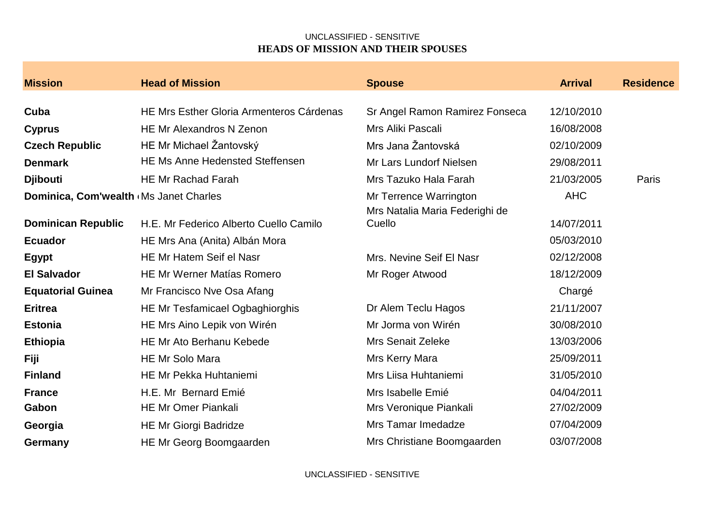| <b>Mission</b>                         | <b>Head of Mission</b>                          | <b>Spouse</b>                                            | <b>Arrival</b> | <b>Residence</b> |
|----------------------------------------|-------------------------------------------------|----------------------------------------------------------|----------------|------------------|
|                                        |                                                 |                                                          |                |                  |
| Cuba                                   | <b>HE Mrs Esther Gloria Armenteros Cárdenas</b> | Sr Angel Ramon Ramirez Fonseca                           | 12/10/2010     |                  |
| <b>Cyprus</b>                          | HE Mr Alexandros N Zenon                        | Mrs Aliki Pascali                                        | 16/08/2008     |                  |
| <b>Czech Republic</b>                  | HE Mr Michael Žantovský                         | Mrs Jana Žantovská                                       | 02/10/2009     |                  |
| <b>Denmark</b>                         | <b>HE Ms Anne Hedensted Steffensen</b>          | Mr Lars Lundorf Nielsen                                  | 29/08/2011     |                  |
| <b>Djibouti</b>                        | <b>HE Mr Rachad Farah</b>                       | Mrs Tazuko Hala Farah                                    | 21/03/2005     | Paris            |
| Dominica, Com'wealth (Ms Janet Charles |                                                 | Mr Terrence Warrington<br>Mrs Natalia Maria Federighi de | <b>AHC</b>     |                  |
| <b>Dominican Republic</b>              | H.E. Mr Federico Alberto Cuello Camilo          | Cuello                                                   | 14/07/2011     |                  |
| <b>Ecuador</b>                         | HE Mrs Ana (Anita) Albán Mora                   |                                                          | 05/03/2010     |                  |
| <b>Egypt</b>                           | HE Mr Hatem Seif el Nasr                        | Mrs. Nevine Seif El Nasr                                 | 02/12/2008     |                  |
| <b>El Salvador</b>                     | <b>HE Mr Werner Matías Romero</b>               | Mr Roger Atwood                                          | 18/12/2009     |                  |
| <b>Equatorial Guinea</b>               | Mr Francisco Nve Osa Afang                      |                                                          | Chargé         |                  |
| <b>Eritrea</b>                         | HE Mr Tesfamicael Ogbaghiorghis                 | Dr Alem Teclu Hagos                                      | 21/11/2007     |                  |
| <b>Estonia</b>                         | HE Mrs Aino Lepik von Wirén                     | Mr Jorma von Wirén                                       | 30/08/2010     |                  |
| <b>Ethiopia</b>                        | <b>HE Mr Ato Berhanu Kebede</b>                 | <b>Mrs Senait Zeleke</b>                                 | 13/03/2006     |                  |
| Fiji                                   | <b>HE Mr Solo Mara</b>                          | Mrs Kerry Mara                                           | 25/09/2011     |                  |
| <b>Finland</b>                         | <b>HE Mr Pekka Huhtaniemi</b>                   | Mrs Liisa Huhtaniemi                                     | 31/05/2010     |                  |
| <b>France</b>                          | H.E. Mr Bernard Emié                            | Mrs Isabelle Emié                                        | 04/04/2011     |                  |
| Gabon                                  | <b>HE Mr Omer Piankali</b>                      | Mrs Veronique Piankali                                   | 27/02/2009     |                  |
| Georgia                                | <b>HE Mr Giorgi Badridze</b>                    | Mrs Tamar Imedadze                                       | 07/04/2009     |                  |
| Germany                                | HE Mr Georg Boomgaarden                         | Mrs Christiane Boomgaarden                               | 03/07/2008     |                  |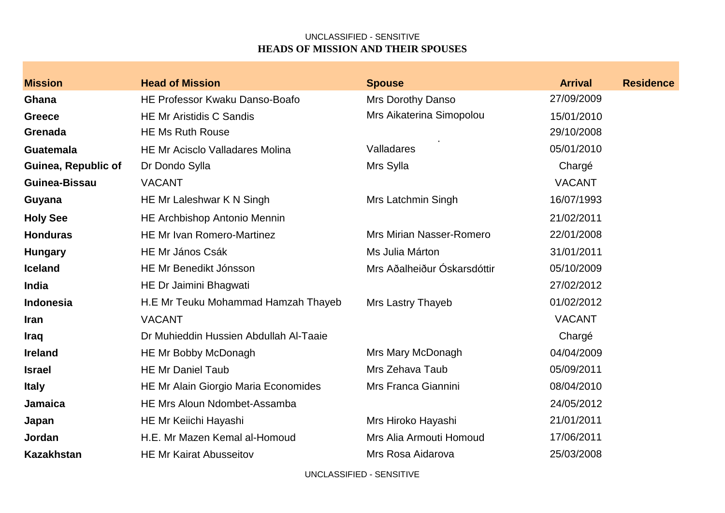| <b>Mission</b>             | <b>Head of Mission</b>                      | <b>Spouse</b>                   | <b>Arrival</b> | <b>Residence</b> |
|----------------------------|---------------------------------------------|---------------------------------|----------------|------------------|
| Ghana                      | HE Professor Kwaku Danso-Boafo              | Mrs Dorothy Danso               | 27/09/2009     |                  |
| <b>Greece</b>              | <b>HE Mr Aristidis C Sandis</b>             | Mrs Aikaterina Simopolou        | 15/01/2010     |                  |
| Grenada                    | <b>HE Ms Ruth Rouse</b>                     |                                 | 29/10/2008     |                  |
| <b>Guatemala</b>           | <b>HE Mr Acisclo Valladares Molina</b>      | Valladares                      | 05/01/2010     |                  |
| <b>Guinea, Republic of</b> | Dr Dondo Sylla                              | Mrs Sylla                       | Chargé         |                  |
| Guinea-Bissau              | <b>VACANT</b>                               |                                 | <b>VACANT</b>  |                  |
| Guyana                     | HE Mr Laleshwar K N Singh                   | Mrs Latchmin Singh              | 16/07/1993     |                  |
| <b>Holy See</b>            | HE Archbishop Antonio Mennin                |                                 | 21/02/2011     |                  |
| <b>Honduras</b>            | HE Mr Ivan Romero-Martinez                  | <b>Mrs Mirian Nasser-Romero</b> | 22/01/2008     |                  |
| <b>Hungary</b>             | <b>HE Mr János Csák</b>                     | Ms Julia Márton                 | 31/01/2011     |                  |
| <b>Iceland</b>             | HE Mr Benedikt Jónsson                      | Mrs Aðalheiður Óskarsdóttir     | 05/10/2009     |                  |
| <b>India</b>               | HE Dr Jaimini Bhagwati                      |                                 | 27/02/2012     |                  |
| <b>Indonesia</b>           | H.E Mr Teuku Mohammad Hamzah Thayeb         | <b>Mrs Lastry Thayeb</b>        | 01/02/2012     |                  |
| Iran                       | <b>VACANT</b>                               |                                 | <b>VACANT</b>  |                  |
| Iraq                       | Dr Muhieddin Hussien Abdullah Al-Taaie      |                                 | Chargé         |                  |
| <b>Ireland</b>             | HE Mr Bobby McDonagh                        | Mrs Mary McDonagh               | 04/04/2009     |                  |
| <b>Israel</b>              | <b>HE Mr Daniel Taub</b>                    | Mrs Zehava Taub                 | 05/09/2011     |                  |
| <b>Italy</b>               | <b>HE Mr Alain Giorgio Maria Economides</b> | Mrs Franca Giannini             | 08/04/2010     |                  |
| <b>Jamaica</b>             | <b>HE Mrs Aloun Ndombet-Assamba</b>         |                                 | 24/05/2012     |                  |
| Japan                      | HE Mr Keiichi Hayashi                       | Mrs Hiroko Hayashi              | 21/01/2011     |                  |
| Jordan                     | H.E. Mr Mazen Kemal al-Homoud               | Mrs Alia Armouti Homoud         | 17/06/2011     |                  |
| <b>Kazakhstan</b>          | <b>HE Mr Kairat Abusseitov</b>              | Mrs Rosa Aidarova               | 25/03/2008     |                  |
|                            |                                             |                                 |                |                  |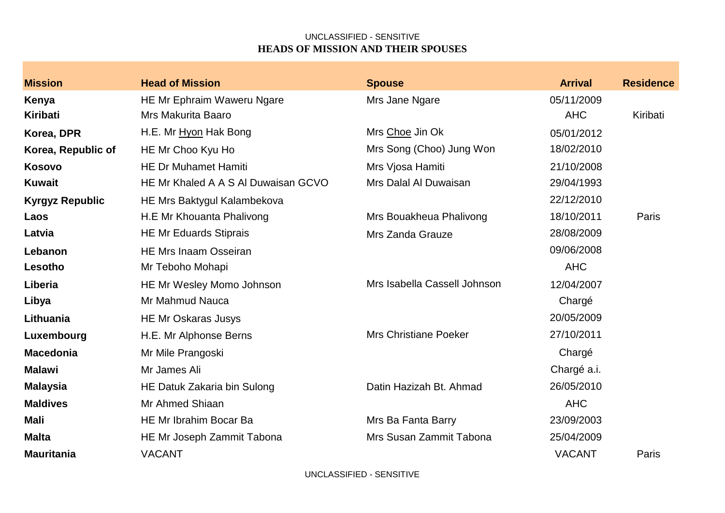| <b>Mission</b>         | <b>Head of Mission</b>              | <b>Spouse</b>                | <b>Arrival</b> | <b>Residence</b> |
|------------------------|-------------------------------------|------------------------------|----------------|------------------|
| Kenya                  | HE Mr Ephraim Waweru Ngare          | Mrs Jane Ngare               | 05/11/2009     |                  |
| <b>Kiribati</b>        | Mrs Makurita Baaro                  |                              | <b>AHC</b>     | Kiribati         |
| Korea, DPR             | H.E. Mr Hyon Hak Bong               | Mrs Choe Jin Ok              | 05/01/2012     |                  |
| Korea, Republic of     | HE Mr Choo Kyu Ho                   | Mrs Song (Choo) Jung Won     | 18/02/2010     |                  |
| <b>Kosovo</b>          | <b>HE Dr Muhamet Hamiti</b>         | Mrs Vjosa Hamiti             | 21/10/2008     |                  |
| <b>Kuwait</b>          | HE Mr Khaled A A S AI Duwaisan GCVO | Mrs Dalal Al Duwaisan        | 29/04/1993     |                  |
| <b>Kyrgyz Republic</b> | HE Mrs Baktygul Kalambekova         |                              | 22/12/2010     |                  |
| Laos                   | H.E Mr Khouanta Phalivong           | Mrs Bouakheua Phalivong      | 18/10/2011     | Paris            |
| Latvia                 | <b>HE Mr Eduards Stiprais</b>       | Mrs Zanda Grauze             | 28/08/2009     |                  |
| Lebanon                | <b>HE Mrs Inaam Osseiran</b>        |                              | 09/06/2008     |                  |
| Lesotho                | Mr Teboho Mohapi                    |                              | <b>AHC</b>     |                  |
| Liberia                | HE Mr Wesley Momo Johnson           | Mrs Isabella Cassell Johnson | 12/04/2007     |                  |
| Libya                  | Mr Mahmud Nauca                     |                              | Chargé         |                  |
| Lithuania              | <b>HE Mr Oskaras Jusys</b>          |                              | 20/05/2009     |                  |
| Luxembourg             | H.E. Mr Alphonse Berns              | <b>Mrs Christiane Poeker</b> | 27/10/2011     |                  |
| <b>Macedonia</b>       | Mr Mile Prangoski                   |                              | Chargé         |                  |
| <b>Malawi</b>          | Mr James Ali                        |                              | Chargé a.i.    |                  |
| <b>Malaysia</b>        | HE Datuk Zakaria bin Sulong         | Datin Hazizah Bt. Ahmad      | 26/05/2010     |                  |
| <b>Maldives</b>        | Mr Ahmed Shiaan                     |                              | <b>AHC</b>     |                  |
| Mali                   | HE Mr Ibrahim Bocar Ba              | Mrs Ba Fanta Barry           | 23/09/2003     |                  |
| <b>Malta</b>           | HE Mr Joseph Zammit Tabona          | Mrs Susan Zammit Tabona      | 25/04/2009     |                  |
| <b>Mauritania</b>      | <b>VACANT</b>                       |                              | <b>VACANT</b>  | Paris            |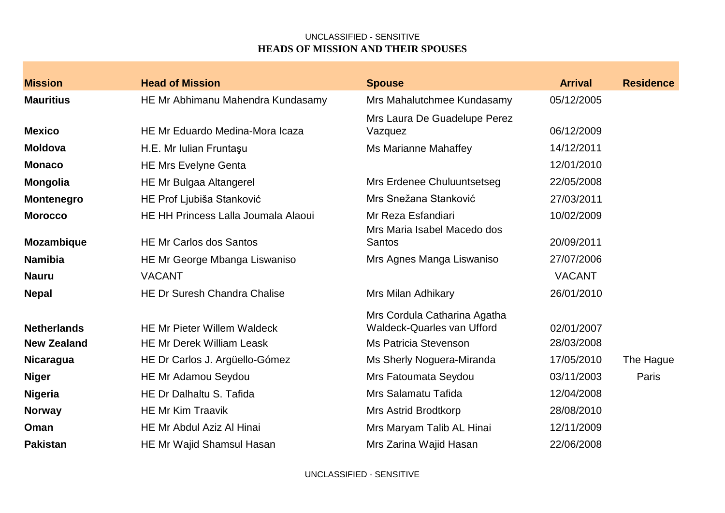| <b>Mission</b>     | <b>Head of Mission</b>                     | <b>Spouse</b>                                     | <b>Arrival</b> | <b>Residence</b> |
|--------------------|--------------------------------------------|---------------------------------------------------|----------------|------------------|
| <b>Mauritius</b>   | HE Mr Abhimanu Mahendra Kundasamy          | Mrs Mahalutchmee Kundasamy                        | 05/12/2005     |                  |
|                    |                                            | Mrs Laura De Guadelupe Perez                      |                |                  |
| <b>Mexico</b>      | HE Mr Eduardo Medina-Mora Icaza            | Vazquez                                           | 06/12/2009     |                  |
| <b>Moldova</b>     | H.E. Mr Iulian Fruntaşu                    | <b>Ms Marianne Mahaffey</b>                       | 14/12/2011     |                  |
| <b>Monaco</b>      | <b>HE Mrs Evelyne Genta</b>                |                                                   | 12/01/2010     |                  |
| <b>Mongolia</b>    | HE Mr Bulgaa Altangerel                    | Mrs Erdenee Chuluuntsetseg                        | 22/05/2008     |                  |
| <b>Montenegro</b>  | HE Prof Ljubiša Stanković                  | Mrs Snežana Stanković                             | 27/03/2011     |                  |
| <b>Morocco</b>     | <b>HE HH Princess Lalla Joumala Alaoui</b> | Mr Reza Esfandiari<br>Mrs Maria Isabel Macedo dos | 10/02/2009     |                  |
| <b>Mozambique</b>  | <b>HE Mr Carlos dos Santos</b>             | <b>Santos</b>                                     | 20/09/2011     |                  |
| <b>Namibia</b>     | HE Mr George Mbanga Liswaniso              | Mrs Agnes Manga Liswaniso                         | 27/07/2006     |                  |
| <b>Nauru</b>       | <b>VACANT</b>                              |                                                   | <b>VACANT</b>  |                  |
| <b>Nepal</b>       | <b>HE Dr Suresh Chandra Chalise</b>        | Mrs Milan Adhikary                                | 26/01/2010     |                  |
|                    |                                            | Mrs Cordula Catharina Agatha                      |                |                  |
| <b>Netherlands</b> | <b>HE Mr Pieter Willem Waldeck</b>         | <b>Waldeck-Quarles van Ufford</b>                 | 02/01/2007     |                  |
| <b>New Zealand</b> | <b>HE Mr Derek William Leask</b>           | <b>Ms Patricia Stevenson</b>                      | 28/03/2008     |                  |
| <b>Nicaragua</b>   | HE Dr Carlos J. Argüello-Gómez             | Ms Sherly Noguera-Miranda                         | 17/05/2010     | The Hague        |
| <b>Niger</b>       | HE Mr Adamou Seydou                        | Mrs Fatoumata Seydou                              | 03/11/2003     | Paris            |
| <b>Nigeria</b>     | HE Dr Dalhaltu S. Tafida                   | Mrs Salamatu Tafida                               | 12/04/2008     |                  |
| <b>Norway</b>      | <b>HE Mr Kim Traavik</b>                   | <b>Mrs Astrid Brodtkorp</b>                       | 28/08/2010     |                  |
| Oman               | HE Mr Abdul Aziz Al Hinai                  | Mrs Maryam Talib AL Hinai                         | 12/11/2009     |                  |
| <b>Pakistan</b>    | HE Mr Wajid Shamsul Hasan                  | Mrs Zarina Wajid Hasan                            | 22/06/2008     |                  |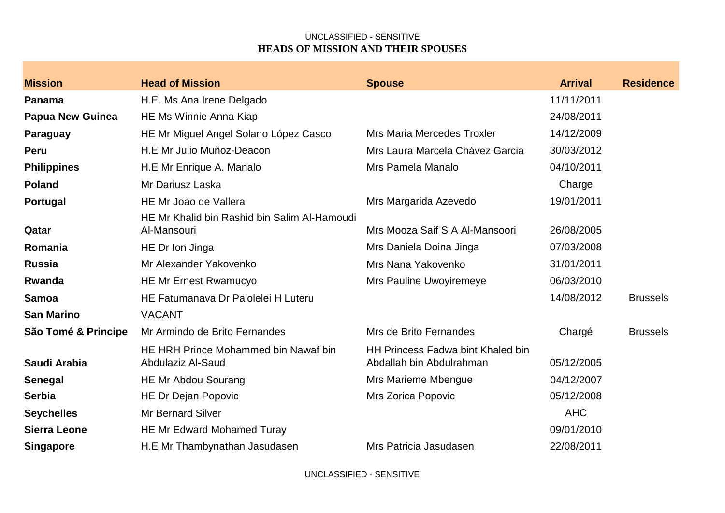| <b>Mission</b>          | <b>Head of Mission</b>                                      | <b>Spouse</b>                                                        | <b>Arrival</b> | <b>Residence</b> |
|-------------------------|-------------------------------------------------------------|----------------------------------------------------------------------|----------------|------------------|
| Panama                  | H.E. Ms Ana Irene Delgado                                   |                                                                      | 11/11/2011     |                  |
| <b>Papua New Guinea</b> | HE Ms Winnie Anna Kiap                                      |                                                                      | 24/08/2011     |                  |
| Paraguay                | HE Mr Miguel Angel Solano López Casco                       | <b>Mrs Maria Mercedes Troxler</b>                                    | 14/12/2009     |                  |
| Peru                    | H.E Mr Julio Muñoz-Deacon                                   | Mrs Laura Marcela Chávez Garcia                                      | 30/03/2012     |                  |
| <b>Philippines</b>      | H.E Mr Enrique A. Manalo                                    | Mrs Pamela Manalo                                                    | 04/10/2011     |                  |
| <b>Poland</b>           | Mr Dariusz Laska                                            |                                                                      | Charge         |                  |
| Portugal                | HE Mr Joao de Vallera                                       | Mrs Margarida Azevedo                                                | 19/01/2011     |                  |
| Qatar                   | HE Mr Khalid bin Rashid bin Salim Al-Hamoudi<br>Al-Mansouri | Mrs Mooza Saif S A Al-Mansoori                                       | 26/08/2005     |                  |
| Romania                 | HE Dr Ion Jinga                                             | Mrs Daniela Doina Jinga                                              | 07/03/2008     |                  |
| <b>Russia</b>           | Mr Alexander Yakovenko                                      | Mrs Nana Yakovenko                                                   | 31/01/2011     |                  |
| Rwanda                  | <b>HE Mr Ernest Rwamucyo</b>                                | Mrs Pauline Uwoyiremeye                                              | 06/03/2010     |                  |
| <b>Samoa</b>            | HE Fatumanava Dr Pa'olelei H Luteru                         |                                                                      | 14/08/2012     | <b>Brussels</b>  |
| <b>San Marino</b>       | <b>VACANT</b>                                               |                                                                      |                |                  |
| São Tomé & Principe     | Mr Armindo de Brito Fernandes                               | Mrs de Brito Fernandes                                               | Chargé         | <b>Brussels</b>  |
| Saudi Arabia            | HE HRH Prince Mohammed bin Nawaf bin<br>Abdulaziz Al-Saud   | <b>HH Princess Fadwa bint Khaled bin</b><br>Abdallah bin Abdulrahman | 05/12/2005     |                  |
| <b>Senegal</b>          | HE Mr Abdou Sourang                                         | Mrs Marieme Mbengue                                                  | 04/12/2007     |                  |
| <b>Serbia</b>           | <b>HE Dr Dejan Popovic</b>                                  | <b>Mrs Zorica Popovic</b>                                            | 05/12/2008     |                  |
| <b>Seychelles</b>       | Mr Bernard Silver                                           |                                                                      | <b>AHC</b>     |                  |
| <b>Sierra Leone</b>     | <b>HE Mr Edward Mohamed Turay</b>                           |                                                                      | 09/01/2010     |                  |
| <b>Singapore</b>        | H.E Mr Thambynathan Jasudasen                               | Mrs Patricia Jasudasen                                               | 22/08/2011     |                  |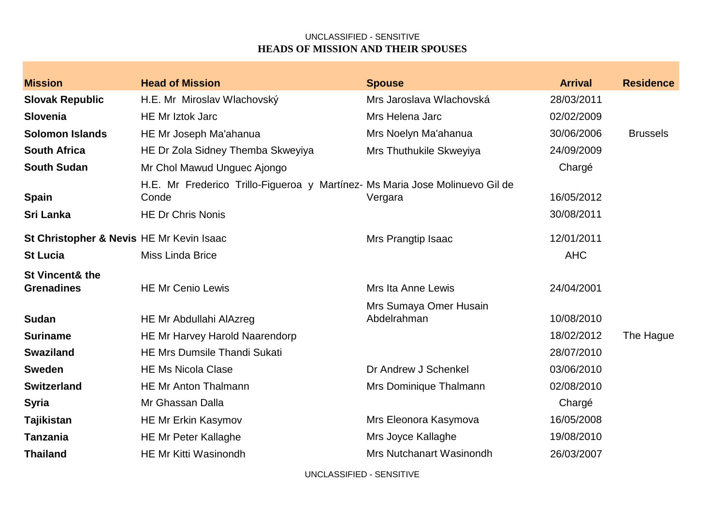| <b>Mission</b>                                  | <b>Head of Mission</b>                                                                                            | <b>Spouse</b>                         | <b>Arrival</b>           | <b>Residence</b> |
|-------------------------------------------------|-------------------------------------------------------------------------------------------------------------------|---------------------------------------|--------------------------|------------------|
| <b>Slovak Republic</b>                          | H.E. Mr Miroslav Wlachovský                                                                                       | Mrs Jaroslava Wlachovská              | 28/03/2011               |                  |
| Slovenia                                        | <b>HE Mr Iztok Jarc</b>                                                                                           | Mrs Helena Jarc                       | 02/02/2009               |                  |
| <b>Solomon Islands</b>                          | HE Mr Joseph Ma'ahanua                                                                                            | Mrs Noelyn Ma'ahanua                  | 30/06/2006               | <b>Brussels</b>  |
| <b>South Africa</b>                             | HE Dr Zola Sidney Themba Skweyiya                                                                                 | Mrs Thuthukile Skweyiya               | 24/09/2009               |                  |
| <b>South Sudan</b>                              | Mr Chol Mawud Unguec Ajongo                                                                                       |                                       | Chargé                   |                  |
| <b>Spain</b><br><b>Sri Lanka</b>                | H.E. Mr Frederico Trillo-Figueroa y Martínez- Ms Maria Jose Molinuevo Gil de<br>Conde<br><b>HE Dr Chris Nonis</b> | Vergara                               | 16/05/2012<br>30/08/2011 |                  |
| St Christopher & Nevis HE Mr Kevin Isaac        |                                                                                                                   | Mrs Prangtip Isaac                    | 12/01/2011               |                  |
| <b>St Lucia</b>                                 | Miss Linda Brice                                                                                                  |                                       | <b>AHC</b>               |                  |
| <b>St Vincent&amp; the</b><br><b>Grenadines</b> | <b>HE Mr Cenio Lewis</b>                                                                                          | Mrs Ita Anne Lewis                    | 24/04/2001               |                  |
| <b>Sudan</b>                                    | HE Mr Abdullahi AlAzreg                                                                                           | Mrs Sumaya Omer Husain<br>Abdelrahman | 10/08/2010               |                  |
| <b>Suriname</b>                                 | HE Mr Harvey Harold Naarendorp                                                                                    |                                       | 18/02/2012               | The Hague        |
| <b>Swaziland</b>                                | <b>HE Mrs Dumsile Thandi Sukati</b>                                                                               |                                       | 28/07/2010               |                  |
| <b>Sweden</b>                                   | <b>HE Ms Nicola Clase</b>                                                                                         | Dr Andrew J Schenkel                  | 03/06/2010               |                  |
| <b>Switzerland</b>                              | <b>HE Mr Anton Thalmann</b>                                                                                       | Mrs Dominique Thalmann                | 02/08/2010               |                  |
| <b>Syria</b>                                    | Mr Ghassan Dalla                                                                                                  |                                       | Chargé                   |                  |
| <b>Tajikistan</b>                               | <b>HE Mr Erkin Kasymov</b>                                                                                        | Mrs Eleonora Kasymova                 | 16/05/2008               |                  |
| <b>Tanzania</b>                                 | <b>HE Mr Peter Kallaghe</b>                                                                                       | Mrs Joyce Kallaghe                    | 19/08/2010               |                  |
| <b>Thailand</b>                                 | <b>HE Mr Kitti Wasinondh</b>                                                                                      | <b>Mrs Nutchanart Wasinondh</b>       | 26/03/2007               |                  |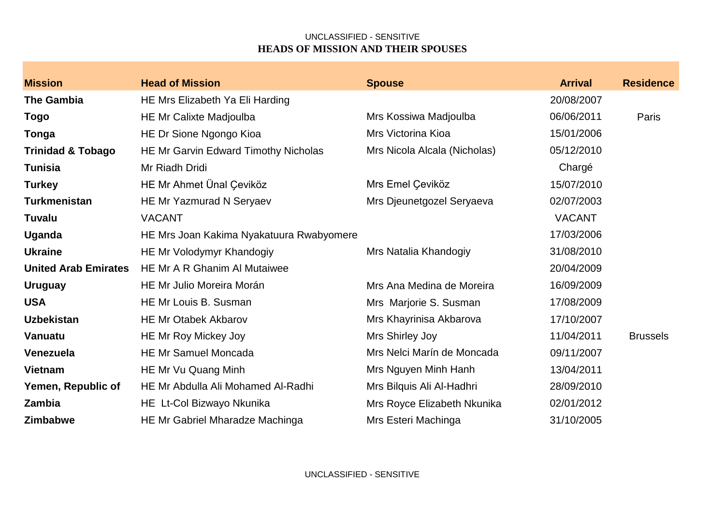| <b>Mission</b>               | <b>Head of Mission</b>                   | <b>Spouse</b>                | <b>Arrival</b> | <b>Residence</b> |
|------------------------------|------------------------------------------|------------------------------|----------------|------------------|
| <b>The Gambia</b>            | HE Mrs Elizabeth Ya Eli Harding          |                              | 20/08/2007     |                  |
| <b>Togo</b>                  | <b>HE Mr Calixte Madjoulba</b>           | Mrs Kossiwa Madjoulba        | 06/06/2011     | Paris            |
| <b>Tonga</b>                 | HE Dr Sione Ngongo Kioa                  | Mrs Victorina Kioa           | 15/01/2006     |                  |
| <b>Trinidad &amp; Tobago</b> | HE Mr Garvin Edward Timothy Nicholas     | Mrs Nicola Alcala (Nicholas) | 05/12/2010     |                  |
| <b>Tunisia</b>               | Mr Riadh Dridi                           |                              | Chargé         |                  |
| <b>Turkey</b>                | HE Mr Ahmet Ünal Çeviköz                 | Mrs Emel Çeviköz             | 15/07/2010     |                  |
| <b>Turkmenistan</b>          | <b>HE Mr Yazmurad N Seryaev</b>          | Mrs Djeunetgozel Seryaeva    | 02/07/2003     |                  |
| <b>Tuvalu</b>                | <b>VACANT</b>                            |                              | <b>VACANT</b>  |                  |
| <b>Uganda</b>                | HE Mrs Joan Kakima Nyakatuura Rwabyomere |                              | 17/03/2006     |                  |
| <b>Ukraine</b>               | HE Mr Volodymyr Khandogiy                | Mrs Natalia Khandogiy        | 31/08/2010     |                  |
| <b>United Arab Emirates</b>  | HE Mr A R Ghanim Al Mutaiwee             |                              | 20/04/2009     |                  |
| <b>Uruguay</b>               | <b>HE Mr Julio Moreira Morán</b>         | Mrs Ana Medina de Moreira    | 16/09/2009     |                  |
| <b>USA</b>                   | HE Mr Louis B. Susman                    | Mrs Marjorie S. Susman       | 17/08/2009     |                  |
| <b>Uzbekistan</b>            | <b>HE Mr Otabek Akbarov</b>              | Mrs Khayrinisa Akbarova      | 17/10/2007     |                  |
| Vanuatu                      | <b>HE Mr Roy Mickey Joy</b>              | Mrs Shirley Joy              | 11/04/2011     | <b>Brussels</b>  |
| Venezuela                    | <b>HE Mr Samuel Moncada</b>              | Mrs Nelci Marín de Moncada   | 09/11/2007     |                  |
| <b>Vietnam</b>               | HE Mr Vu Quang Minh                      | Mrs Nguyen Minh Hanh         | 13/04/2011     |                  |
| Yemen, Republic of           | HE Mr Abdulla Ali Mohamed Al-Radhi       | Mrs Bilquis Ali Al-Hadhri    | 28/09/2010     |                  |
| Zambia                       | HE Lt-Col Bizwayo Nkunika                | Mrs Royce Elizabeth Nkunika  | 02/01/2012     |                  |
| <b>Zimbabwe</b>              | HE Mr Gabriel Mharadze Machinga          | Mrs Esteri Machinga          | 31/10/2005     |                  |